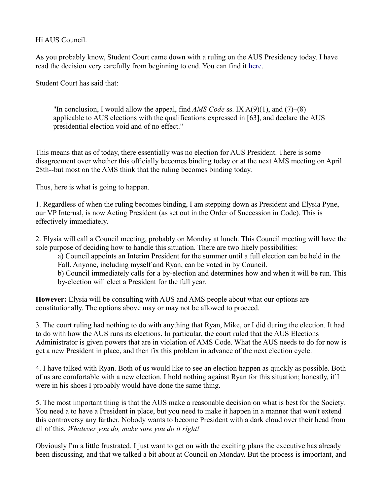Hi AUS Council.

As you probably know, Student Court came down with a ruling on the AUS Presidency today. I have read the decision very carefully from beginning to end. You can find it [here.](http://blogs.ubc.ca/ubcinsiders/files/2010/04/StudentCourtAUS2010.PDF)

Student Court has said that:

"In conclusion, I would allow the appeal, find *AMS Code* ss. IX A(9)(1), and (7)–(8) applicable to AUS elections with the qualifications expressed in [63], and declare the AUS presidential election void and of no effect."

This means that as of today, there essentially was no election for AUS President. There is some disagreement over whether this officially becomes binding today or at the next AMS meeting on April 28th--but most on the AMS think that the ruling becomes binding today.

Thus, here is what is going to happen.

1. Regardless of when the ruling becomes binding, I am stepping down as President and Elysia Pyne, our VP Internal, is now Acting President (as set out in the Order of Succession in Code). This is effectively immediately.

2. Elysia will call a Council meeting, probably on Monday at lunch. This Council meeting will have the sole purpose of deciding how to handle this situation. There are two likely possibilities:

a) Council appoints an Interim President for the summer until a full election can be held in the Fall. Anyone, including myself and Ryan, can be voted in by Council.

b) Council immediately calls for a by-election and determines how and when it will be run. This by-election will elect a President for the full year.

**However:** Elysia will be consulting with AUS and AMS people about what our options are constitutionally. The options above may or may not be allowed to proceed.

3. The court ruling had nothing to do with anything that Ryan, Mike, or I did during the election. It had to do with how the AUS runs its elections. In particular, the court ruled that the AUS Elections Administrator is given powers that are in violation of AMS Code. What the AUS needs to do for now is get a new President in place, and then fix this problem in advance of the next election cycle.

4. I have talked with Ryan. Both of us would like to see an election happen as quickly as possible. Both of us are comfortable with a new election. I hold nothing against Ryan for this situation; honestly, if I were in his shoes I probably would have done the same thing.

5. The most important thing is that the AUS make a reasonable decision on what is best for the Society. You need a to have a President in place, but you need to make it happen in a manner that won't extend this controversy any farther. Nobody wants to become President with a dark cloud over their head from all of this. *Whatever you do, make sure you do it right!*

Obviously I'm a little frustrated. I just want to get on with the exciting plans the executive has already been discussing, and that we talked a bit about at Council on Monday. But the process is important, and